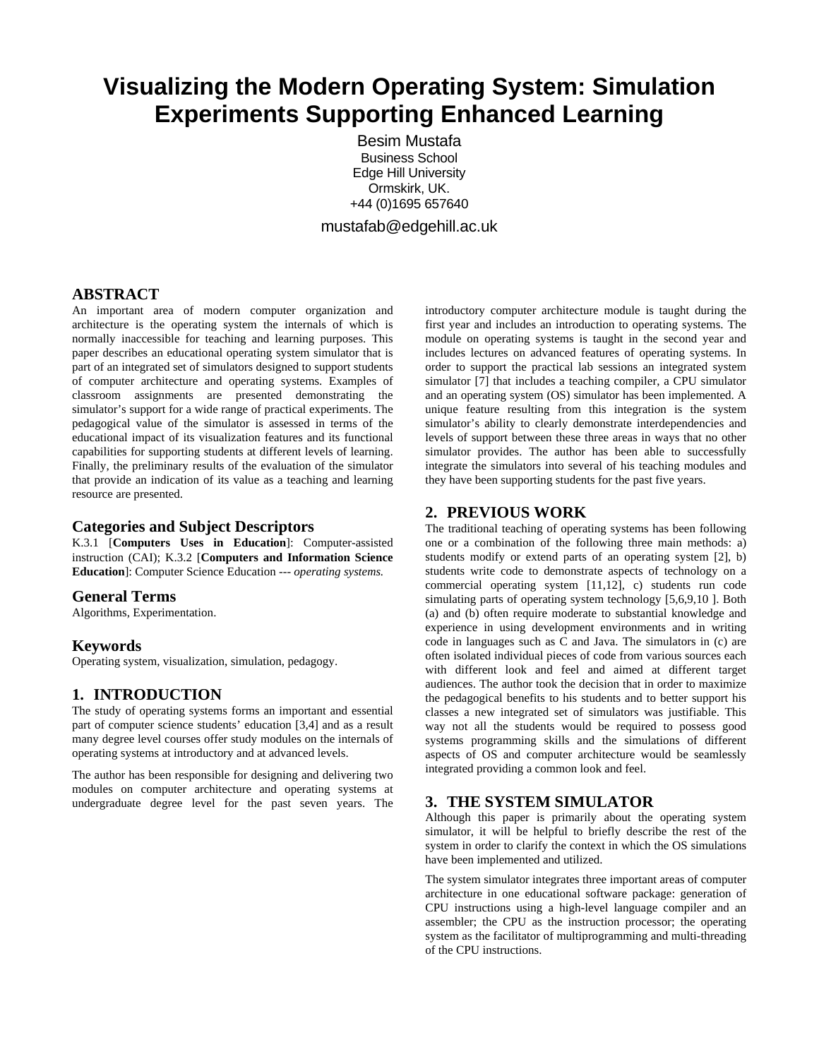# **Visualizing the Modern Operating System: Simulation Experiments Supporting Enhanced Learning**

Besim Mustafa Business School Edge Hill University Ormskirk, UK. +44 (0)1695 657640 mustafab@edgehill.ac.uk

# **ABSTRACT**

An important area of modern computer organization and architecture is the operating system the internals of which is normally inaccessible for teaching and learning purposes. This paper describes an educational operating system simulator that is part of an integrated set of simulators designed to support students of computer architecture and operating systems. Examples of classroom assignments are presented demonstrating the simulator's support for a wide range of practical experiments. The pedagogical value of the simulator is assessed in terms of the educational impact of its visualization features and its functional capabilities for supporting students at different levels of learning. Finally, the preliminary results of the evaluation of the simulator that provide an indication of its value as a teaching and learning resource are presented.

#### **Categories and Subject Descriptors**

K.3.1 [**Computers Uses in Education**]: Computer-assisted instruction (CAI); K.3.2 [**Computers and Information Science Education**]: Computer Science Education --- *operating systems.* 

#### **General Terms**

Algorithms, Experimentation.

#### **Keywords**

Operating system, visualization, simulation, pedagogy.

#### **1. INTRODUCTION**

The study of operating systems forms an important and essential part of computer science students' education [3,4] and as a result many degree level courses offer study modules on the internals of operating systems at introductory and at advanced levels.

The author has been responsible for designing and delivering two modules on computer architecture and operating systems at undergraduate degree level for the past seven years. The

introductory computer architecture module is taught during the first year and includes an introduction to operating systems. The module on operating systems is taught in the second year and includes lectures on advanced features of operating systems. In order to support the practical lab sessions an integrated system simulator [7] that includes a teaching compiler, a CPU simulator and an operating system (OS) simulator has been implemented. A unique feature resulting from this integration is the system simulator's ability to clearly demonstrate interdependencies and levels of support between these three areas in ways that no other simulator provides. The author has been able to successfully integrate the simulators into several of his teaching modules and they have been supporting students for the past five years.

#### **2. PREVIOUS WORK**

The traditional teaching of operating systems has been following one or a combination of the following three main methods: a) students modify or extend parts of an operating system [2], b) students write code to demonstrate aspects of technology on a commercial operating system [11,12], c) students run code simulating parts of operating system technology [5,6,9,10 ]. Both (a) and (b) often require moderate to substantial knowledge and experience in using development environments and in writing code in languages such as C and Java. The simulators in (c) are often isolated individual pieces of code from various sources each with different look and feel and aimed at different target audiences. The author took the decision that in order to maximize the pedagogical benefits to his students and to better support his classes a new integrated set of simulators was justifiable. This way not all the students would be required to possess good systems programming skills and the simulations of different aspects of OS and computer architecture would be seamlessly integrated providing a common look and feel.

# **3. THE SYSTEM SIMULATOR**

Although this paper is primarily about the operating system simulator, it will be helpful to briefly describe the rest of the system in order to clarify the context in which the OS simulations have been implemented and utilized.

The system simulator integrates three important areas of computer architecture in one educational software package: generation of CPU instructions using a high-level language compiler and an assembler; the CPU as the instruction processor; the operating system as the facilitator of multiprogramming and multi-threading of the CPU instructions.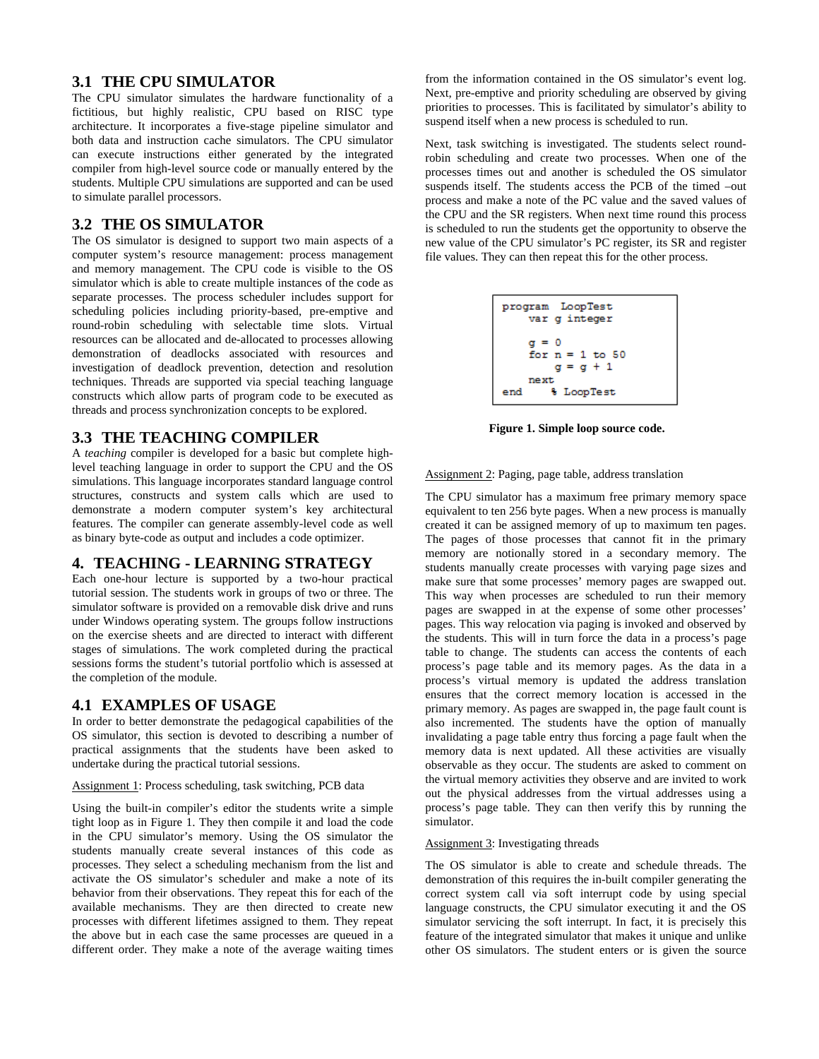# **3.1 THE CPU SIMULATOR**

The CPU simulator simulates the hardware functionality of a fictitious, but highly realistic, CPU based on RISC type architecture. It incorporates a five-stage pipeline simulator and both data and instruction cache simulators. The CPU simulator can execute instructions either generated by the integrated compiler from high-level source code or manually entered by the students. Multiple CPU simulations are supported and can be used to simulate parallel processors.

# **3.2 THE OS SIMULATOR**

The OS simulator is designed to support two main aspects of a computer system's resource management: process management and memory management. The CPU code is visible to the OS simulator which is able to create multiple instances of the code as separate processes. The process scheduler includes support for scheduling policies including priority-based, pre-emptive and round-robin scheduling with selectable time slots. Virtual resources can be allocated and de-allocated to processes allowing demonstration of deadlocks associated with resources and investigation of deadlock prevention, detection and resolution techniques. Threads are supported via special teaching language constructs which allow parts of program code to be executed as threads and process synchronization concepts to be explored.

#### **3.3 THE TEACHING COMPILER**

A *teaching* compiler is developed for a basic but complete highlevel teaching language in order to support the CPU and the OS simulations. This language incorporates standard language control structures, constructs and system calls which are used to demonstrate a modern computer system's key architectural features. The compiler can generate assembly-level code as well as binary byte-code as output and includes a code optimizer.

# **4. TEACHING - LEARNING STRATEGY**

Each one-hour lecture is supported by a two-hour practical tutorial session. The students work in groups of two or three. The simulator software is provided on a removable disk drive and runs under Windows operating system. The groups follow instructions on the exercise sheets and are directed to interact with different stages of simulations. The work completed during the practical sessions forms the student's tutorial portfolio which is assessed at the completion of the module.

# **4.1 EXAMPLES OF USAGE**

In order to better demonstrate the pedagogical capabilities of the OS simulator, this section is devoted to describing a number of practical assignments that the students have been asked to undertake during the practical tutorial sessions.

#### Assignment 1: Process scheduling, task switching, PCB data

Using the built-in compiler's editor the students write a simple tight loop as in Figure 1. They then compile it and load the code in the CPU simulator's memory. Using the OS simulator the students manually create several instances of this code as processes. They select a scheduling mechanism from the list and activate the OS simulator's scheduler and make a note of its behavior from their observations. They repeat this for each of the available mechanisms. They are then directed to create new processes with different lifetimes assigned to them. They repeat the above but in each case the same processes are queued in a different order. They make a note of the average waiting times

from the information contained in the OS simulator's event log. Next, pre-emptive and priority scheduling are observed by giving priorities to processes. This is facilitated by simulator's ability to suspend itself when a new process is scheduled to run.

Next, task switching is investigated. The students select roundrobin scheduling and create two processes. When one of the processes times out and another is scheduled the OS simulator suspends itself. The students access the PCB of the timed –out process and make a note of the PC value and the saved values of the CPU and the SR registers. When next time round this process is scheduled to run the students get the opportunity to observe the new value of the CPU simulator's PC register, its SR and register file values. They can then repeat this for the other process.

```
program LoopTest
    var g integer
    g = 0\frac{1}{2} for n = 1 to 50
           = q + 1ď
    next
        % LoopTest
end
```
**Figure 1. Simple loop source code.** 

Assignment 2: Paging, page table, address translation

The CPU simulator has a maximum free primary memory space equivalent to ten 256 byte pages. When a new process is manually created it can be assigned memory of up to maximum ten pages. The pages of those processes that cannot fit in the primary memory are notionally stored in a secondary memory. The students manually create processes with varying page sizes and make sure that some processes' memory pages are swapped out. This way when processes are scheduled to run their memory pages are swapped in at the expense of some other processes' pages. This way relocation via paging is invoked and observed by the students. This will in turn force the data in a process's page table to change. The students can access the contents of each process's page table and its memory pages. As the data in a process's virtual memory is updated the address translation ensures that the correct memory location is accessed in the primary memory. As pages are swapped in, the page fault count is also incremented. The students have the option of manually invalidating a page table entry thus forcing a page fault when the memory data is next updated. All these activities are visually observable as they occur. The students are asked to comment on the virtual memory activities they observe and are invited to work out the physical addresses from the virtual addresses using a process's page table. They can then verify this by running the simulator.

#### Assignment 3: Investigating threads

The OS simulator is able to create and schedule threads. The demonstration of this requires the in-built compiler generating the correct system call via soft interrupt code by using special language constructs, the CPU simulator executing it and the OS simulator servicing the soft interrupt. In fact, it is precisely this feature of the integrated simulator that makes it unique and unlike other OS simulators. The student enters or is given the source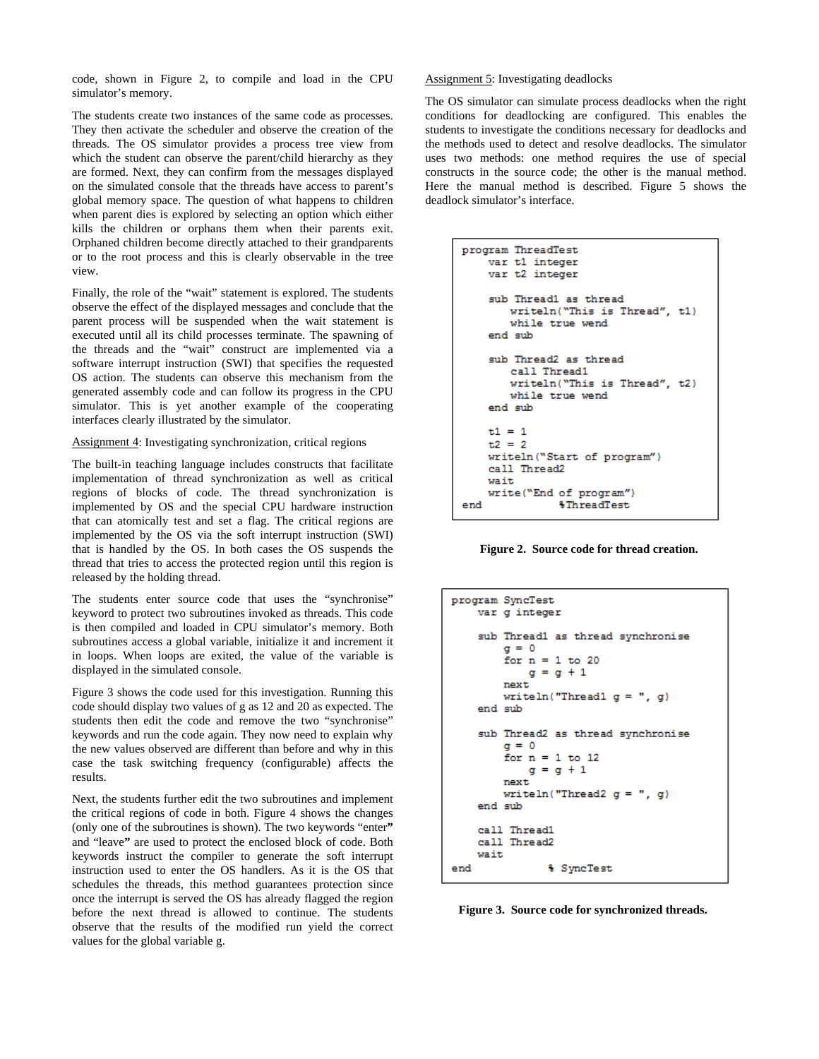code, shown in Figure 2, to compile and load in the CPU simulator's memory.

The students create two instances of the same code as processes. They then activate the scheduler and observe the creation of the threads. The OS simulator provides a process tree view from which the student can observe the parent/child hierarchy as they are formed. Next, they can confirm from the messages displayed on the simulated console that the threads have access to parent's global memory space. The question of what happens to children when parent dies is explored by selecting an option which either kills the children or orphans them when their parents exit. Orphaned children become directly attached to their grandparents or to the root process and this is clearly observable in the tree view.

Finally, the role of the "wait" statement is explored. The students observe the effect of the displayed messages and conclude that the parent process will be suspended when the wait statement is executed until all its child processes terminate. The spawning of the threads and the "wait" construct are implemented via a software interrupt instruction (SWI) that specifies the requested OS action. The students can observe this mechanism from the generated assembly code and can follow its progress in the CPU simulator. This is yet another example of the cooperating interfaces clearly illustrated by the simulator.

Assignment 4: Investigating synchronization, critical regions

The built-in teaching language includes constructs that facilitate implementation of thread synchronization as well as critical regions of blocks of code. The thread synchronization is implemented by OS and the special CPU hardware instruction that can atomically test and set a flag. The critical regions are implemented by the OS via the soft interrupt instruction (SWI) that is handled by the OS. In both cases the OS suspends the thread that tries to access the protected region until this region is released by the holding thread.

The students enter source code that uses the "synchronise" keyword to protect two subroutines invoked as threads. This code is then compiled and loaded in CPU simulator's memory. Both subroutines access a global variable, initialize it and increment it in loops. When loops are exited, the value of the variable is displayed in the simulated console.

Figure 3 shows the code used for this investigation. Running this code should display two values of g as 12 and 20 as expected. The students then edit the code and remove the two "synchronise" keywords and run the code again. They now need to explain why the new values observed are different than before and why in this case the task switching frequency (configurable) affects the results.

Next, the students further edit the two subroutines and implement the critical regions of code in both. Figure 4 shows the changes (only one of the subroutines is shown). The two keywords "enter**"** and "leave**"** are used to protect the enclosed block of code. Both keywords instruct the compiler to generate the soft interrupt instruction used to enter the OS handlers. As it is the OS that schedules the threads, this method guarantees protection since once the interrupt is served the OS has already flagged the region before the next thread is allowed to continue. The students observe that the results of the modified run yield the correct values for the global variable g.

#### Assignment 5: Investigating deadlocks

The OS simulator can simulate process deadlocks when the right conditions for deadlocking are configured. This enables the students to investigate the conditions necessary for deadlocks and the methods used to detect and resolve deadlocks. The simulator uses two methods: one method requires the use of special constructs in the source code; the other is the manual method. Here the manual method is described. Figure 5 shows the deadlock simulator's interface.

```
program ThreadTest
    var tl integer
    var t2 integer
    sub Threadl as thread
       writeln("This is Thread", t1)
       while true wend
    end sub
    sub Thread2 as thread
       call Thread1
       writeln("This is Thread", t2)
       while true wend
    end sub
    t1 = 1t2 = 2writeln ("Start of program")
    call Thread2
    wait
    write("End of program")
end
               &ThreadTest
```
**Figure 2. Source code for thread creation.** 

```
program SyncTest
    var q integer
    sub Thread1 as thread synchronise
        g = 0for n = 1 to 20
            g = g + 1next
        writeln("Thread1 g = ", g)
    end sub
    sub Thread2 as thread synchronise
        q = 0for n = 1 to 12
            q = q + 1next
        writeln("Thread2 g = ", g)
    end sub
    call Thread1
    call Thread2
    wait
               % SyncTest
end
```
**Figure 3. Source code for synchronized threads.**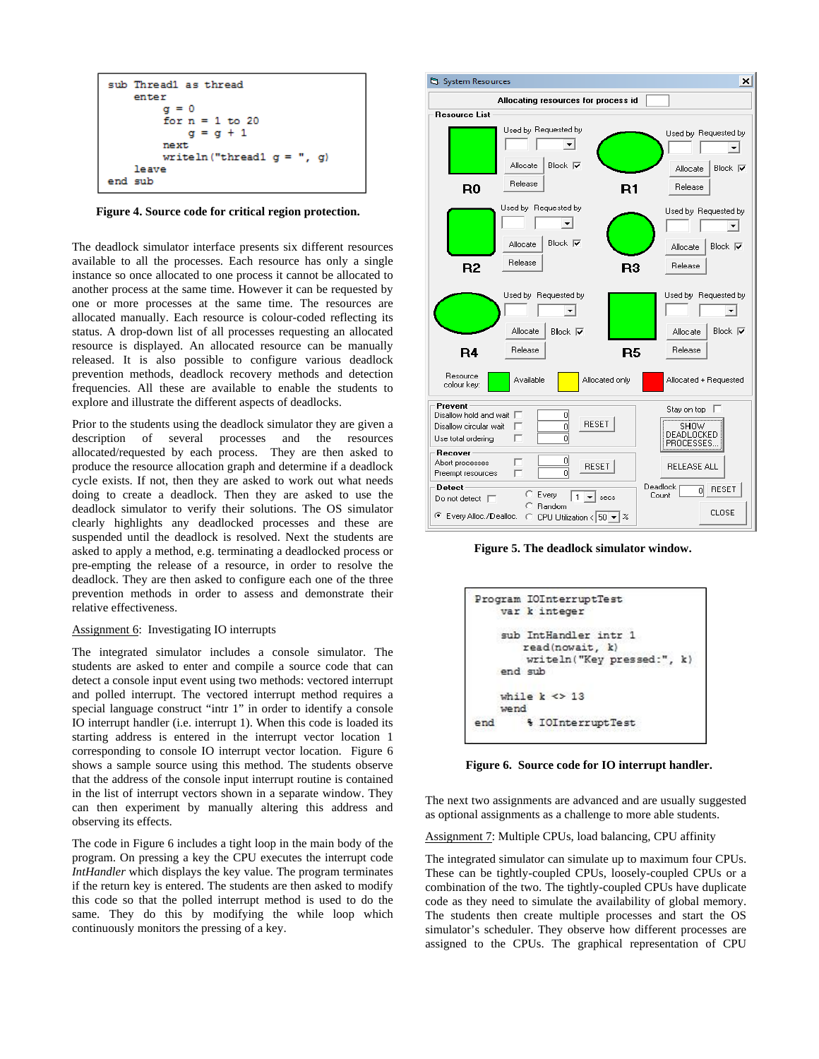```
sub Threadl as thread
    enter
         đ
           = 0for n = 1 to 20
             g = g + 1next
         writeln ("thread1 q = ", q)
    leave
end sub
```
**Figure 4. Source code for critical region protection.** 

The deadlock simulator interface presents six different resources available to all the processes. Each resource has only a single instance so once allocated to one process it cannot be allocated to another process at the same time. However it can be requested by one or more processes at the same time. The resources are allocated manually. Each resource is colour-coded reflecting its status. A drop-down list of all processes requesting an allocated resource is displayed. An allocated resource can be manually released. It is also possible to configure various deadlock prevention methods, deadlock recovery methods and detection frequencies. All these are available to enable the students to explore and illustrate the different aspects of deadlocks.

Prior to the students using the deadlock simulator they are given a description of several processes and the resources allocated/requested by each process. They are then asked to produce the resource allocation graph and determine if a deadlock cycle exists. If not, then they are asked to work out what needs doing to create a deadlock. Then they are asked to use the deadlock simulator to verify their solutions. The OS simulator clearly highlights any deadlocked processes and these are suspended until the deadlock is resolved. Next the students are asked to apply a method, e.g. terminating a deadlocked process or pre-empting the release of a resource, in order to resolve the deadlock. They are then asked to configure each one of the three prevention methods in order to assess and demonstrate their relative effectiveness.

#### Assignment 6: Investigating IO interrupts

The integrated simulator includes a console simulator. The students are asked to enter and compile a source code that can detect a console input event using two methods: vectored interrupt and polled interrupt. The vectored interrupt method requires a special language construct "intr 1" in order to identify a console IO interrupt handler (i.e. interrupt 1). When this code is loaded its starting address is entered in the interrupt vector location 1 corresponding to console IO interrupt vector location. Figure 6 shows a sample source using this method. The students observe that the address of the console input interrupt routine is contained in the list of interrupt vectors shown in a separate window. They can then experiment by manually altering this address and observing its effects.

The code in Figure 6 includes a tight loop in the main body of the program. On pressing a key the CPU executes the interrupt code *IntHandler* which displays the key value. The program terminates if the return key is entered. The students are then asked to modify this code so that the polled interrupt method is used to do the same. They do this by modifying the while loop which continuously monitors the pressing of a key.



**Figure 5. The deadlock simulator window.** 

| Program IOInterruptTest                  |
|------------------------------------------|
| var k integer                            |
| sub IntHandler intr 1<br>read(nowait, k) |
| writeln("Key pressed:", k)<br>end sub    |
| while $k \leq 13$<br>wend                |
| <b><i>§ IOInterruptTest</i></b>          |

**Figure 6. Source code for IO interrupt handler.** 

The next two assignments are advanced and are usually suggested as optional assignments as a challenge to more able students.

Assignment 7: Multiple CPUs, load balancing, CPU affinity

The integrated simulator can simulate up to maximum four CPUs. These can be tightly-coupled CPUs, loosely-coupled CPUs or a combination of the two. The tightly-coupled CPUs have duplicate code as they need to simulate the availability of global memory. The students then create multiple processes and start the OS simulator's scheduler. They observe how different processes are assigned to the CPUs. The graphical representation of CPU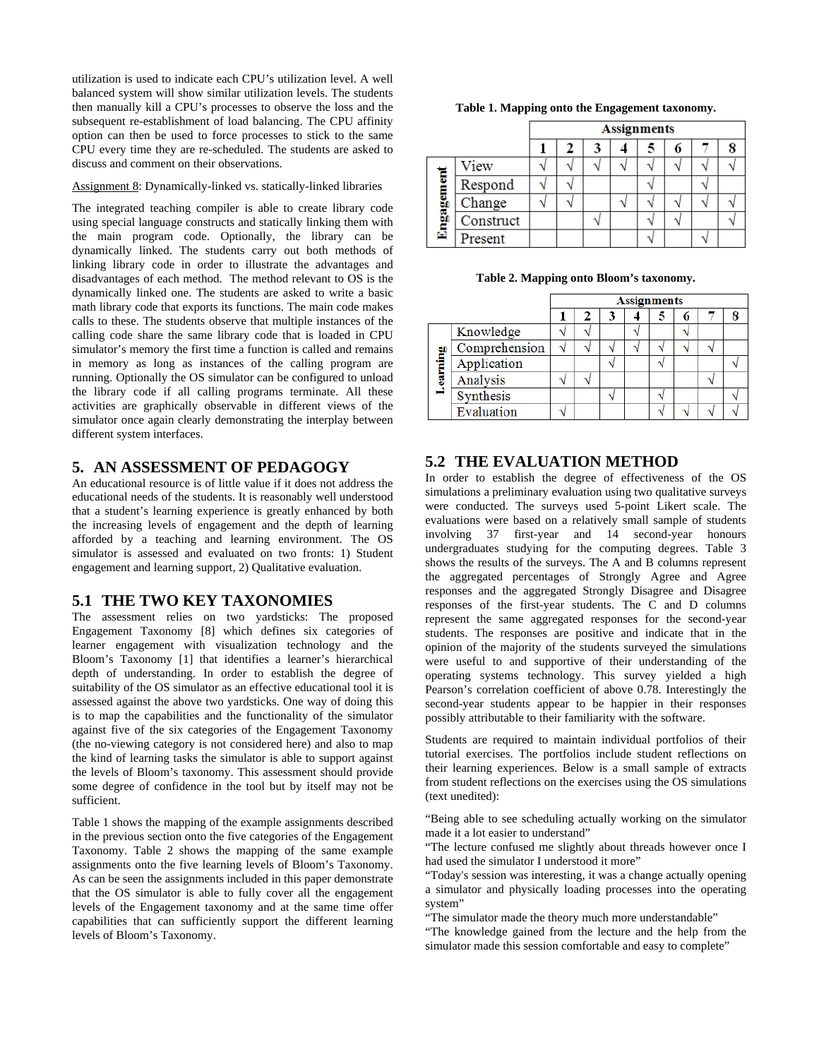utilization is used to indicate each CPU's utilization level. A well balanced system will show similar utilization levels. The students then manually kill a CPU's processes to observe the loss and the subsequent re-establishment of load balancing. The CPU affinity option can then be used to force processes to stick to the same CPU every time they are re-scheduled. The students are asked to discuss and comment on their observations.

Assignment 8: Dynamically-linked vs. statically-linked libraries

The integrated teaching compiler is able to create library code using special language constructs and statically linking them with the main program code. Optionally, the library can be dynamically linked. The students carry out both methods of linking library code in order to illustrate the advantages and disadvantages of each method. The method relevant to OS is the dynamically linked one. The students are asked to write a basic math library code that exports its functions. The main code makes calls to these. The students observe that multiple instances of the calling code share the same library code that is loaded in CPU simulator's memory the first time a function is called and remains in memory as long as instances of the calling program are running. Optionally the OS simulator can be configured to unload the library code if all calling programs terminate. All these activities are graphically observable in different views of the simulator once again clearly demonstrating the interplay between different system interfaces.

# **5. AN ASSESSMENT OF PEDAGOGY**

An educational resource is of little value if it does not address the educational needs of the students. It is reasonably well understood that a student's learning experience is greatly enhanced by both the increasing levels of engagement and the depth of learning afforded by a teaching and learning environment. The OS simulator is assessed and evaluated on two fronts: 1) Student engagement and learning support, 2) Qualitative evaluation.

# **5.1 THE TWO KEY TAXONOMIES**

The assessment relies on two yardsticks: The proposed Engagement Taxonomy [8] which defines six categories of learner engagement with visualization technology and the Bloom's Taxonomy [1] that identifies a learner's hierarchical depth of understanding. In order to establish the degree of suitability of the OS simulator as an effective educational tool it is assessed against the above two yardsticks. One way of doing this is to map the capabilities and the functionality of the simulator against five of the six categories of the Engagement Taxonomy (the no-viewing category is not considered here) and also to map the kind of learning tasks the simulator is able to support against the levels of Bloom's taxonomy. This assessment should provide some degree of confidence in the tool but by itself may not be sufficient.

Table 1 shows the mapping of the example assignments described in the previous section onto the five categories of the Engagement Taxonomy. Table 2 shows the mapping of the same example assignments onto the five learning levels of Bloom's Taxonomy. As can be seen the assignments included in this paper demonstrate that the OS simulator is able to fully cover all the engagement levels of the Engagement taxonomy and at the same time offer capabilities that can sufficiently support the different learning levels of Bloom's Taxonomy.

**Table 1. Mapping onto the Engagement taxonomy.** 

|              |           | <b>Assignments</b> |  |  |  |   |  |  |  |  |
|--------------|-----------|--------------------|--|--|--|---|--|--|--|--|
|              |           |                    |  |  |  | 5 |  |  |  |  |
| ē<br>Engagem | View      |                    |  |  |  |   |  |  |  |  |
|              | Respond   |                    |  |  |  |   |  |  |  |  |
|              | Change    |                    |  |  |  |   |  |  |  |  |
|              | Construct |                    |  |  |  |   |  |  |  |  |
|              | Present   |                    |  |  |  |   |  |  |  |  |

**Table 2. Mapping onto Bloom's taxonomy.** 

|          |               | <b>Assignments</b> |  |   |  |   |   |  |  |
|----------|---------------|--------------------|--|---|--|---|---|--|--|
|          |               |                    |  | 3 |  | 5 | 6 |  |  |
| Learning | Knowledge     |                    |  |   |  |   |   |  |  |
|          | Comprehension |                    |  |   |  |   |   |  |  |
|          | Application   |                    |  |   |  |   |   |  |  |
|          | Analysis      |                    |  |   |  |   |   |  |  |
|          | Synthesis     |                    |  |   |  |   |   |  |  |
|          | Evaluation    |                    |  |   |  |   |   |  |  |

# **5.2 THE EVALUATION METHOD**

In order to establish the degree of effectiveness of the OS simulations a preliminary evaluation using two qualitative surveys were conducted. The surveys used 5-point Likert scale. The evaluations were based on a relatively small sample of students involving 37 first-year and 14 second-year honours undergraduates studying for the computing degrees. Table 3 shows the results of the surveys. The A and B columns represent the aggregated percentages of Strongly Agree and Agree responses and the aggregated Strongly Disagree and Disagree responses of the first-year students. The C and D columns represent the same aggregated responses for the second-year students. The responses are positive and indicate that in the opinion of the majority of the students surveyed the simulations were useful to and supportive of their understanding of the operating systems technology. This survey yielded a high Pearson's correlation coefficient of above 0.78. Interestingly the second-year students appear to be happier in their responses possibly attributable to their familiarity with the software.

Students are required to maintain individual portfolios of their tutorial exercises. The portfolios include student reflections on their learning experiences. Below is a small sample of extracts from student reflections on the exercises using the OS simulations (text unedited):

"Being able to see scheduling actually working on the simulator made it a lot easier to understand"

"The lecture confused me slightly about threads however once I had used the simulator I understood it more"

"Today's session was interesting, it was a change actually opening a simulator and physically loading processes into the operating system"

"The simulator made the theory much more understandable"

"The knowledge gained from the lecture and the help from the simulator made this session comfortable and easy to complete"